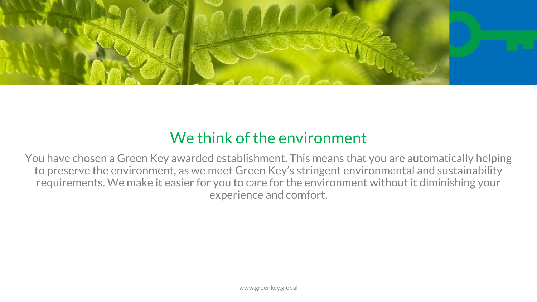

# We think of the environment

You have chosen a Green Key awarded establishment. This means that you are automatically helping to preserve the environment, as we meet Green Key's stringent environmental and sustainability requirements. We make it easier for you to care for the environment without it diminishing your experience and comfort.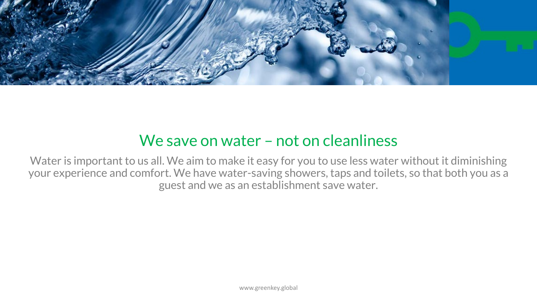

#### We save on water – not on cleanliness

Water is important to us all. We aim to make it easy for you to use less water without it diminishing your experience and comfort. We have water-saving showers, taps and toilets, so that both you as a guest and we as an establishment save water.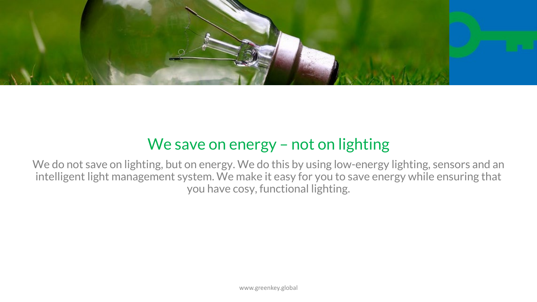

# We save on energy - not on lighting

We do not save on lighting, but on energy. We do this by using low-energy lighting, sensors and an intelligent light management system. We make it easy for you to save energy while ensuring that you have cosy, functional lighting.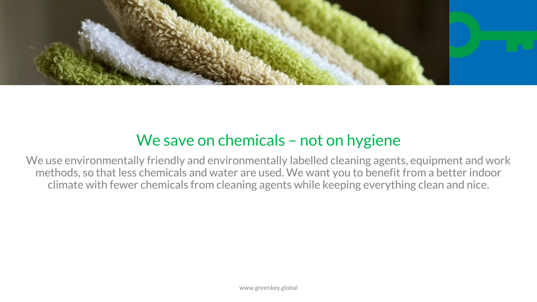

#### We save on chemicals – not on hygiene

We use environmentally friendly and environmentally labelled cleaning agents, equipment and work methods, so that less chemicals and water are used. We want you to benefit from a better indoor climate with fewer chemicals from cleaning agents while keeping everything clean and nice.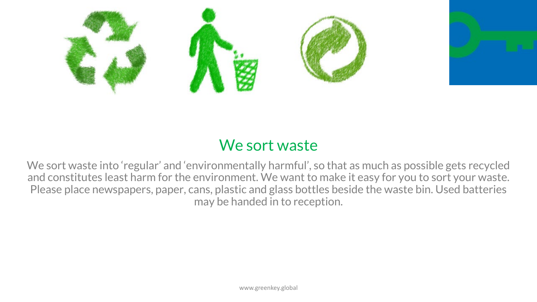

# We sort waste

We sort waste into 'regular' and 'environmentally harmful', so that as much as possible gets recycled and constitutes least harm for the environment. We want to make it easy for you to sort your waste. Please place newspapers, paper, cans, plastic and glass bottles beside the waste bin. Used batteries may be handed in to reception.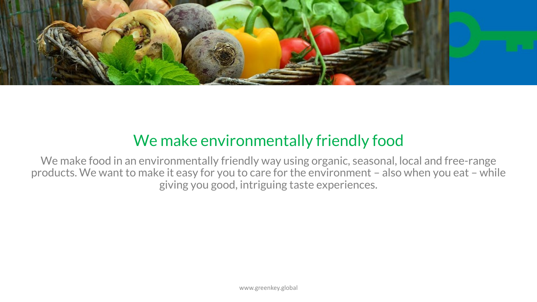

# We make environmentally friendly food

We make food in an environmentally friendly way using organic, seasonal, local and free-range products. We want to make it easy for you to care for the environment – also when you eat – while giving you good, intriguing taste experiences.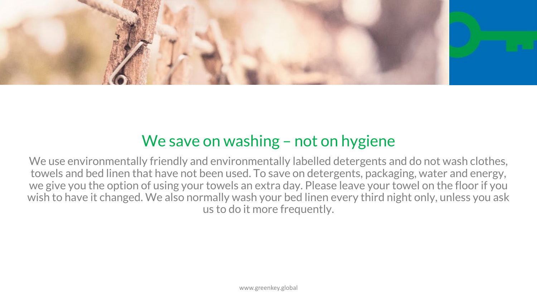

### We save on washing – not on hygiene

We use environmentally friendly and environmentally labelled detergents and do not wash clothes, towels and bed linen that have not been used. To save on detergents, packaging, water and energy, we give you the option of using your towels an extra day. Please leave your towel on the floor if you wish to have it changed. We also normally wash your bed linen every third night only, unless you ask us to do it more frequently.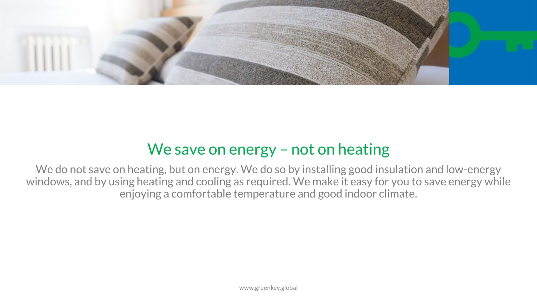

#### We save on energy – not on heating

We do not save on heating, but on energy. We do so by installing good insulation and low-energy windows, and by using heating and cooling as required. We make it easy for you to save energy while enjoying a comfortable temperature and good indoor climate.